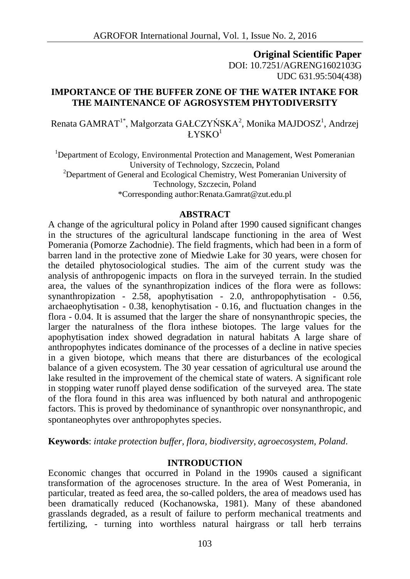**Original Scientific Paper** DOI: 10.7251/AGRENG1602103G UDC 631.95:504(438)

## **IMPORTANCE OF THE BUFFER ZONE OF THE WATER INTAKE FOR THE MAINTENANCE OF AGROSYSTEM PHYTODIVERSITY**

Renata GAMRAT $^{\text{1*}}$ , Małgorzata GAŁCZYŃSKA $^{\text{2}}$ , Monika MAJDOSZ $^{\text{1}}$ , Andrzej  $L$ YSKO<sup>1</sup>

<sup>1</sup>Department of Ecology, Environmental Protection and Management, West Pomeranian University of Technology, Szczecin, Poland  $2$ Department of General and Ecological Chemistry, West Pomeranian University of Technology, Szczecin, Poland \*Corresponding author[:Renata.Gamrat@zut.edu.pl](mailto:Renata.Gamrat@zut.edu.pl)

#### **ABSTRACT**

A change of the agricultural policy in Poland after 1990 caused significant changes in the structures of the agricultural landscape functioning in the area of West Pomerania (Pomorze Zachodnie). The field fragments, which had been in a form of barren land in the protective zone of Miedwie Lake for 30 years, were chosen for the detailed phytosociological studies. The aim of the current study was the analysis of anthropogenic impacts on flora in the surveyed terrain. In the studied area, the values of the synanthropization indices of the flora were as follows: synanthropization - 2.58, apophytisation - 2.0, anthropophytisation - 0.56, archaeophytisation - 0.38, kenophytisation - 0.16, and fluctuation changes in the flora - 0.04. It is assumed that the larger the share of nonsynanthropic species, the larger the naturalness of the flora inthese biotopes. The large values for the apophytisation index showed degradation in natural habitats A large share of anthropophytes indicates dominance of the processes of a decline in native species in a given biotope, which means that there are disturbances of the ecological balance of a given ecosystem. The 30 year cessation of agricultural use around the lake resulted in the improvement of the chemical state of waters. A significant role in stopping water runoff played dense sodification of the surveyed area. The state of the flora found in this area was influenced by both natural and anthropogenic factors. This is proved by thedominance of synanthropic over nonsynanthropic, and spontaneophytes over anthropophytes species.

**Keywords**: *intake protection buffer, flora, biodiversity, agroecosystem, Poland.*

### **INTRODUCTION**

Economic changes that occurred in Poland in the 1990s caused a significant transformation of the agrocenoses structure. In the area of West Pomerania, in particular, treated as feed area, the so-called polders, the area of meadows used has been dramatically reduced (Kochanowska, 1981). Many of these abandoned grasslands degraded, as a result of failure to perform mechanical treatments and fertilizing, - turning into worthless natural hairgrass or tall herb terrains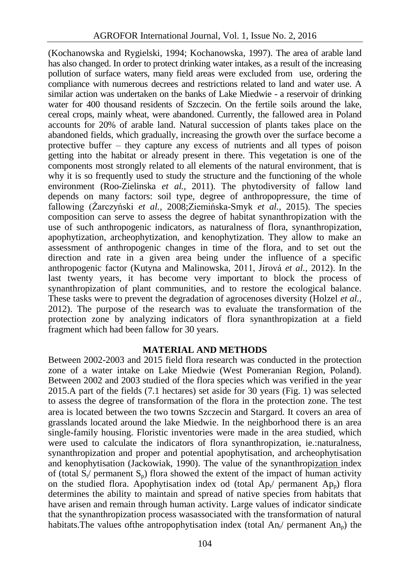(Kochanowska and Rygielski, 1994; Kochanowska, 1997). The area of arable land has also changed. In order to protect drinking water intakes, as a result of the increasing pollution of surface waters, many field areas were excluded from use, ordering the compliance with numerous decrees and restrictions related to land and water use. A similar action was undertaken on the banks of Lake Miedwie - a reservoir of drinking water for 400 thousand residents of Szczecin. On the fertile soils around the lake, cereal crops, mainly wheat, were abandoned. Currently, the fallowed area in Poland accounts for 20% of arable land. Natural succession of plants takes place on the abandoned fields, which gradually, increasing the growth over the surface become a protective buffer – they capture any excess of nutrients and all types of poison getting into the habitat or already present in there. This vegetation is one of the components most strongly related to all elements of the natural environment, that is why it is so frequently used to study the structure and the functioning of the whole environment (Roo-Zielinska *et al.,* 2011). The phytodiversity of fallow land depends on many factors: soil type, degree of anthropopressure, the time of fallowing (Żarczyński *et al.,* 2008;Ziemińska-Smyk *et al.,* 2015). The species composition can serve to assess the degree of habitat synanthropization with the use of such anthropogenic indicators, as naturalness of flora, synanthropization, apophytization, archeophytization, and kenophytization. They allow to make an assessment of anthropogenic changes in time of the flora, and to set out the direction and rate in a given area being under the influence of a specific anthropogenic factor (Kutyna and Malinowska, 2011, Jírová *et al.,* 2012). In the last twenty years, it has become very important to block the process of synanthropization of plant communities, and to restore the ecological balance. These tasks were to prevent the degradation of agrocenoses diversity (Holzel *et al.,* 2012). The purpose of the research was to evaluate the transformation of the protection zone by analyzing indicators of flora synanthropization at a field fragment which had been fallow for 30 years.

### **MATERIAL AND METHODS**

Between 2002-2003 and 2015 field flora research was conducted in the protection zone of a water intake on Lake Miedwie (West Pomeranian Region, Poland). Between 2002 and 2003 studied of the flora species which was verified in the year 2015.A part of the fields (7.1 hectares) set aside for 30 years (Fig. 1) was selected to assess the degree of transformation of the flora in the protection zone. The test area is located between the two towns Szczecin and Stargard. It covers an area of grasslands located around the lake Miedwie. In the neighborhood there is an area single-family housing. Floristic inventories were made in the area studied, which were used to calculate the indicators of flora synanthropization, ie.:naturalness, synanthropization and proper and potential apophytisation, and archeophytisation and kenophytisation (Jackowiak, 1990). The value of the synanthropization index of (total  $S_t$ ) permanent  $S_p$ ) flora showed the extent of the impact of human activity on the studied flora. Apophytisation index od (total  $Ap_{t'}$  permanent  $Ap_{p}$ ) flora determines the ability to maintain and spread of native species from habitats that have arisen and remain through human activity. Large values of indicator sindicate that the synanthropization process wasassociated with the transformation of natural habitats. The values of the antropophytisation index (total  $An_{\nu}$  permanent  $An_{\nu}$ ) the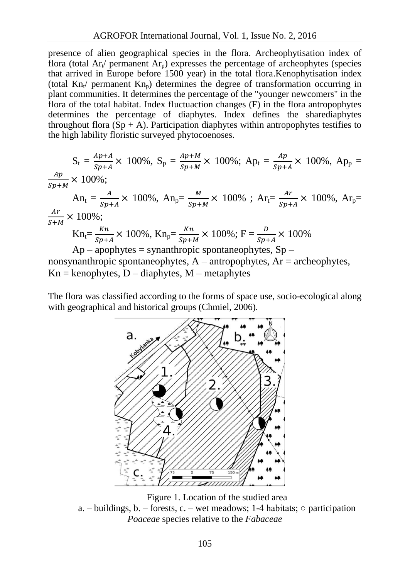presence of alien geographical species in the flora. Archeophytisation index of flora (total  $Ar_t$  permanent  $Ar_p$ ) expresses the percentage of archeophytes (species that arrived in Europe before 1500 year) in the total flora.Kenophytisation index (total  $Kn_{t'}$  permanent  $Kn_{p}$ ) determines the degree of transformation occurring in plant communities. It determines the percentage of the "younger newcomers" in the flora of the total habitat. Index fluctuaction changes (F) in the flora antropophytes determines the percentage of diaphytes. Index defines the sharediaphytes throughout flora  $(Sp + A)$ . Participation diaphytes within antropophytes testifies to the high lability floristic surveyed phytocoenoses.

$$
S_{t} = \frac{Ap + A}{sp + A} \times 100\%, \ S_{p} = \frac{Ap + M}{sp + M} \times 100\%; \ Ap_{t} = \frac{Ap}{sp + A} \times 100\%, \ Ap_{p} = \frac{Ap}{sp + M} \times 100\%;
$$
\n
$$
An_{t} = \frac{A}{sp + A} \times 100\%, \ An_{p} = \frac{M}{sp + M} \times 100\% \; ; \ Ar_{t} = \frac{Ar}{sp + A} \times 100\%, \ Ar_{p} = \frac{Ar}{sp + A} \times 100\%;
$$
\n
$$
Kn_{t} = \frac{Kn}{sp + A} \times 100\%, \ Kn_{p} = \frac{Kn}{sp + M} \times 100\%; \ F = \frac{D}{sp + A} \times 100\%
$$
\n
$$
Ap - appbytes = synanthropic spontaneous, \ Sp -
$$

nonsynanthropic spontaneophytes,  $A$  – antropophytes,  $Ar$  = archeophytes,  $Kn =$  kenophytes,  $D -$  diaphytes,  $M -$  metaphytes

The flora was classified according to the forms of space use, socio-ecological along with geographical and historical groups (Chmiel, 2006).



Figure 1. Location of the studied area a. – buildings, b. – forests, c. – wet meadows; 1-4 habitats;  $\circ$  participation *Poaceae* species relative to the *Fabaceae*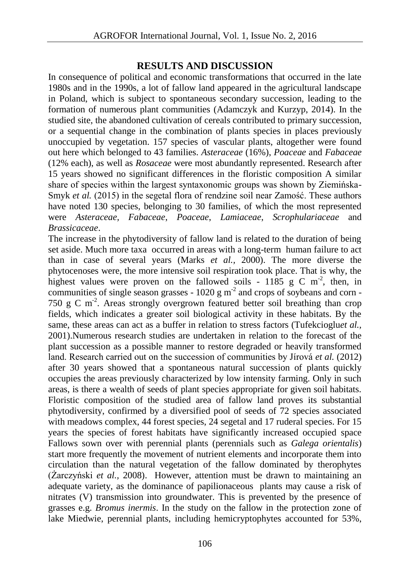# **RESULTS AND DISCUSSION**

In consequence of political and economic transformations that occurred in the late 1980s and in the 1990s, a lot of fallow land appeared in the agricultural landscape in Poland, which is subject to spontaneous secondary succession, leading to the formation of numerous plant communities (Adamczyk and Kurzyp, 2014). In the studied site, the abandoned cultivation of cereals contributed to primary succession, or a sequential change in the combination of plants species in places previously unoccupied by vegetation. 157 species of vascular plants, altogether were found out here which belonged to 43 families. *Asteraceae* (16%), *Poaceae* and *Fabaceae* (12% each), as well as *Rosaceae* were most abundantly represented. Research after 15 years showed no significant differences in the floristic composition A similar share of species within the largest syntaxonomic groups was shown by Ziemińska-Smyk *et al.* (2015) in the segetal flora of rendzine soil near Zamość. These authors have noted 130 species, belonging to 30 families, of which the most represented were *Asteraceae, Fabaceae*, *Poaceae*, *Lamiaceae*, *Scrophulariaceae* and *Brassicaceae*.

The increase in the phytodiversity of fallow land is related to the duration of being set aside. Much more taxa occurred in areas with a long-term human failure to act than in case of several years (Marks *et al.,* 2000). The more diverse the phytocenoses were, the more intensive soil respiration took place. That is why, the highest values were proven on the fallowed soils - 1185 g C m<sup>-2</sup>, then, in communities of single season grasses -  $1020 \text{ g m}^2$  and crops of soybeans and corn -750 g C m-2 . Areas strongly overgrown featured better soil breathing than crop fields, which indicates a greater soil biological activity in these habitats. By the same, these areas can act as a buffer in relation to stress factors [\(Tufekcioglu](https://www.researchgate.net/researcher/28461277_A_Tufekcioglu?_sg=CdWRi9hqNYcJ_gNVNwen-eRPLXnl5fK3LOUlP2RHXHUd3aBK0kYyv5e5Hruvv0Z9QnNIC3q5e0RbtjnItmDqyQ)*et al.,* 2001).Numerous research studies are undertaken in relation to the forecast of the plant succession as a possible manner to restore degraded or heavily transformed land. Research carried out on the succession of communities by Jírová *et al.* (2012) after 30 years showed that a spontaneous natural succession of plants quickly occupies the areas previously characterized by low intensity farming. Only in such areas, is there a wealth of seeds of plant species appropriate for given soil habitats. Floristic composition of the studied area of fallow land proves its substantial phytodiversity, confirmed by a diversified pool of seeds of 72 species associated with meadows complex, 44 forest species, 24 segetal and 17 ruderal species. For 15 years the species of forest habitats have significantly increased occupied space Fallows sown over with perennial plants (perennials such as *Galega orientalis*) start more frequently the movement of nutrient elements and incorporate them into circulation than the natural vegetation of the fallow dominated by therophytes (Żarczyński *et al.,* 2008). However, attention must be drawn to maintaining an adequate variety, as the dominance of papilionaceous plants may cause a risk of nitrates (V) transmission into groundwater. This is prevented by the presence of grasses e.g. *Bromus inermis*. In the study on the fallow in the protection zone of lake Miedwie, perennial plants, including hemicryptophytes accounted for 53%,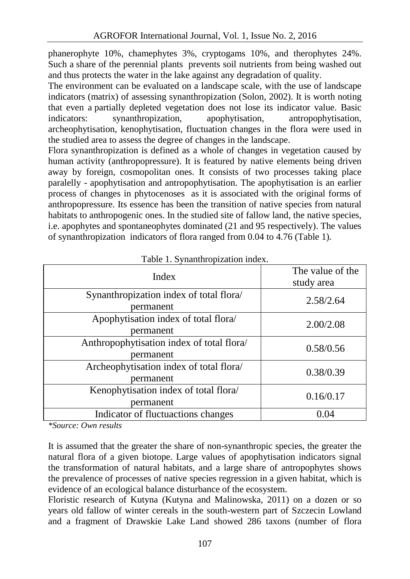phanerophyte 10%, chamephytes 3%, cryptogams 10%, and therophytes 24%. Such a share of the perennial plants prevents soil nutrients from being washed out and thus protects the water in the lake against any degradation of quality.

The environment can be evaluated on a landscape scale, with the use of landscape indicators (matrix) of assessing synanthropization (Solon, 2002). It is worth noting that even a partially depleted vegetation does not lose its indicator value. Basic indicators: synanthropization, apophytisation, antropophytisation, archeophytisation, kenophytisation, fluctuation changes in the flora were used in the studied area to assess the degree of changes in the landscape.

Flora synanthropization is defined as a whole of changes in vegetation caused by human activity (anthropopressure). It is featured by native elements being driven away by foreign, cosmopolitan ones. It consists of two processes taking place paralelly - apophytisation and antropophytisation. The apophytisation is an earlier process of changes in phytocenoses as it is associated with the original forms of anthropopressure. Its essence has been the transition of native species from natural habitats to anthropogenic ones. In the studied site of fallow land, the native species, i.e. apophytes and spontaneophytes dominated (21 and 95 respectively). The values of synanthropization indicators of flora ranged from 0.04 to 4.76 (Table 1).

| Index                                                  | The value of the<br>study area |
|--------------------------------------------------------|--------------------------------|
| Synanthropization index of total flora/<br>permanent   | 2.58/2.64                      |
| Apophytisation index of total flora/<br>permanent      | 2.00/2.08                      |
| Anthropophytisation index of total flora/<br>permanent | 0.58/0.56                      |
| Archeophytisation index of total flora/<br>permanent   | 0.38/0.39                      |
| Kenophytisation index of total flora/<br>permanent     | 0.16/0.17                      |
| Indicator of fluctuactions changes                     | 0.04                           |

Table 1. Synanthropization index.

*\*Source: Own results*

It is assumed that the greater the share of non-synanthropic species, the greater the natural flora of a given biotope. Large values of apophytisation indicators signal the transformation of natural habitats, and a large share of antropophytes shows the prevalence of processes of native species regression in a given habitat, which is evidence of an ecological balance disturbance of the ecosystem.

Floristic research of Kutyna (Kutyna and Malinowska, 2011) on a dozen or so years old fallow of winter cereals in the south-western part of Szczecin Lowland and a fragment of Drawskie Lake Land showed 286 taxons (number of flora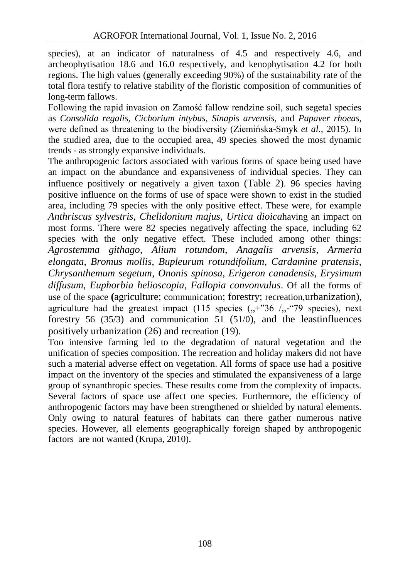species), at an indicator of naturalness of 4.5 and respectively 4.6, and archeophytisation 18.6 and 16.0 respectively, and kenophytisation 4.2 for both regions. The high values (generally exceeding 90%) of the sustainability rate of the total flora testify to relative stability of the floristic composition of communities of long-term fallows.

Following the rapid invasion on Zamość fallow rendzine soil, such segetal species as *Consolida regalis, Cichorium intybus, Sinapis arvensis,* and *Papaver rhoeas*, were defined as threatening to the biodiversity (Ziemińska-Smyk *et al.,* 2015). In the studied area, due to the occupied area, 49 species showed the most dynamic trends - as strongly expansive individuals.

The anthropogenic factors associated with various forms of space being used have an impact on the abundance and expansiveness of individual species. They can influence positively or negatively a given taxon (Table 2). 96 species having positive influence on the forms of use of space were shown to exist in the studied area, including 79 species with the only positive effect. These were, for example *Anthriscus sylvestris*, *Chelidonium majus*, *Urtica dioica*having an impact on most forms. There were 82 species negatively affecting the space, including 62 species with the only negative effect. These included among other things: *Agrostemma githago*, *Alium rotundom*, *Anagalis arvensis*, *Armeria elongata*, *Bromus mollis*, *Bupleurum rotundifolium*, *Cardamine pratensis*, *Chrysanthemum segetum*, *Ononis spinosa*, *Erigeron canadensis*, *Erysimum diffusum*, *Euphorbia helioscopia*, *Fallopia convonvulus*. Of all the forms of use of the space **(**agriculture; communication; forestry; recreation,urbanization), agriculture had the greatest impact (115 species  $($ , $+$ "36  $/$ , $-$ "79 species), next forestry 56 (35/3) and communication 51 (51/0), and the leastinfluences positively urbanization (26) and recreation (19).

Too intensive farming led to the degradation of natural vegetation and the unification of species composition. The recreation and holiday makers did not have such a material adverse effect on vegetation. All forms of space use had a positive impact on the inventory of the species and stimulated the expansiveness of a large group of synanthropic species. These results come from the complexity of impacts. Several factors of space use affect one species. Furthermore, the efficiency of anthropogenic factors may have been strengthened or shielded by natural elements. Only owing to natural features of habitats can there gather numerous native species. However, all elements geographically foreign shaped by anthropogenic factors are not wanted (Krupa, 2010).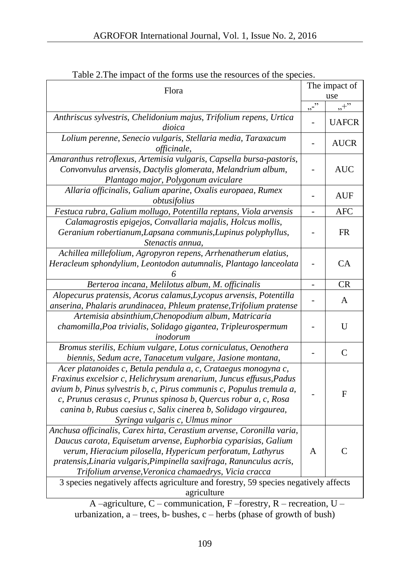| Flora                                                                                                                                                                                                                                                                                                                                                                                                                         |                          | The impact of<br>use |  |
|-------------------------------------------------------------------------------------------------------------------------------------------------------------------------------------------------------------------------------------------------------------------------------------------------------------------------------------------------------------------------------------------------------------------------------|--------------------------|----------------------|--|
|                                                                                                                                                                                                                                                                                                                                                                                                                               | $\overline{\cdots}$      | $, +$ "              |  |
| Anthriscus sylvestris, Chelidonium majus, Trifolium repens, Urtica<br>dioica                                                                                                                                                                                                                                                                                                                                                  |                          | <b>UAFCR</b>         |  |
| Lolium perenne, Senecio vulgaris, Stellaria media, Taraxacum<br>officinale,                                                                                                                                                                                                                                                                                                                                                   |                          | <b>AUCR</b>          |  |
| Amaranthus retroflexus, Artemisia vulgaris, Capsella bursa-pastoris,<br>Convonvulus arvensis, Dactylis glomerata, Melandrium album,<br>Plantago major, Polygonum aviculare                                                                                                                                                                                                                                                    |                          | <b>AUC</b>           |  |
| Allaria officinalis, Galium aparine, Oxalis europaea, Rumex<br>obtusifolius                                                                                                                                                                                                                                                                                                                                                   |                          | AUF                  |  |
| Festuca rubra, Galium mollugo, Potentilla reptans, Viola arvensis                                                                                                                                                                                                                                                                                                                                                             |                          | <b>AFC</b>           |  |
| Calamagrostis epigejos, Convallaria majalis, Holcus mollis,<br>Geranium robertianum, Lapsana communis, Lupinus polyphyllus,<br>Stenactis annua,                                                                                                                                                                                                                                                                               |                          | FR                   |  |
| Achillea millefolium, Agropyron repens, Arrhenatherum elatius,<br>Heracleum sphondylium, Leontodon autumnalis, Plantago lanceolata                                                                                                                                                                                                                                                                                            |                          | CA                   |  |
| Berteroa incana, Melilotus album, M. officinalis                                                                                                                                                                                                                                                                                                                                                                              | $\overline{\phantom{a}}$ | <b>CR</b>            |  |
| Alopecurus pratensis, Acorus calamus, Lycopus arvensis, Potentilla<br>anserina, Phalaris arundinacea, Phleum pratense, Trifolium pratense                                                                                                                                                                                                                                                                                     |                          | A                    |  |
| Artemisia absinthium, Chenopodium album, Matricaria<br>chamomilla, Poa trivialis, Solidago gigantea, Tripleurospermum<br>inodorum                                                                                                                                                                                                                                                                                             |                          | U                    |  |
| Bromus sterilis, Echium vulgare, Lotus corniculatus, Oenothera<br>biennis, Sedum acre, Tanacetum vulgare, Jasione montana,                                                                                                                                                                                                                                                                                                    |                          | C                    |  |
| Acer platanoides c, Betula pendula a, c, Crataegus monogyna c,<br>Fraxinus excelsior c, Helichrysum arenarium, Juncus effusus, Padus<br>avium b, Pinus sylvestris b, c, Pirus communis c, Populus tremula a,<br>c, Prunus cerasus c, Prunus spinosa b, Quercus robur a, c, Rosa<br>canina b, Rubus caesius c, Salix cinerea b, Solidago virgaurea,<br>Syringa vulgaris c, Ulmus minor                                         |                          | F                    |  |
| Anchusa officinalis, Carex hirta, Cerastium arvense, Coronilla varia,<br>Daucus carota, Equisetum arvense, Euphorbia cyparisias, Galium<br>verum, Hieracium pilosella, Hypericum perforatum, Lathyrus<br>pratensis, Linaria vulgaris, Pimpinella saxifraga, Ranunculus acris,<br>Trifolium arvense, Veronica chamaedrys, Vicia cracca<br>3 species negatively affects agriculture and forestry, 59 species negatively affects | A                        | C                    |  |
| agriculture                                                                                                                                                                                                                                                                                                                                                                                                                   |                          |                      |  |

Table 2.The impact of the forms use the resources of the species.

A –agriculture, C – communication, F –forestry, R – recreation, U – urbanization, a – trees, b- bushes, c – herbs (phase of growth of bush)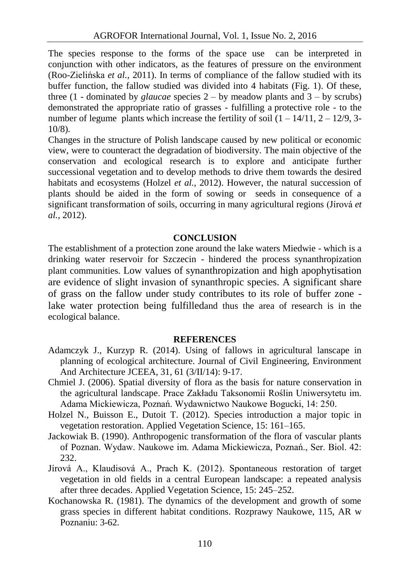The species response to the forms of the space use can be interpreted in conjunction with other indicators, as the features of pressure on the environment (Roo-Zielińska *et al.,* 2011). In terms of compliance of the fallow studied with its buffer function, the fallow studied was divided into 4 habitats (Fig. 1). Of these, three  $(1 -$ dominated by *glaucae* species  $2 -$  by meadow plants and  $3 -$  by scrubs) demonstrated the appropriate ratio of grasses - fulfilling a protective role - to the number of legume plants which increase the fertility of soil  $(1 - 14/11, 2 - 12/9, 3-11)$ 10/8).

Changes in the structure of Polish landscape caused by new political or economic view, were to counteract the degradation of biodiversity. The main objective of the conservation and ecological research is to explore and anticipate further successional vegetation and to develop methods to drive them towards the desired habitats and ecosystems (Holzel *et al.,* 2012). However, the natural succession of plants should be aided in the form of sowing or seeds in consequence of a significant transformation of soils, occurring in many agricultural regions (Jírová *et al.,* 2012).

## **CONCLUSION**

The establishment of a protection zone around the lake waters Miedwie - which is a drinking water reservoir for Szczecin - hindered the process synanthropization plant communities. Low values of synanthropization and high apophytisation are evidence of slight invasion of synanthropic species. A significant share of grass on the fallow under study contributes to its role of buffer zone lake water protection being fulfilledand thus the area of research is in the ecological balance.

### **REFERENCES**

- Adamczyk J., Kurzyp R. (2014). Using of fallows in agricultural lanscape in planning of ecological architecture. Journal of Civil Engineering, Environment And Architecture JCEEA, 31, 61 (3/II/14): 9-17.
- Chmiel J. (2006). Spatial diversity of flora as the basis for nature conservation in the agricultural landscape. Prace Zakładu Taksonomii Roślin Uniwersytetu im. Adama Mickiewicza, Poznań. Wydawnictwo Naukowe Bogucki, 14: 250.
- Holzel N., Buisson E., Dutoit T. (2012). Species introduction a major topic in vegetation restoration. Applied Vegetation Science, 15: 161–165.
- Jackowiak B. (1990). Anthropogenic transformation of the flora of vascular plants of Poznan. Wydaw. Naukowe im. Adama Mickiewicza, Poznań., Ser. Biol. 42: 232.
- Jírová A., Klaudisová A., Prach K. (2012). Spontaneous restoration of target vegetation in old fields in a central European landscape: a repeated analysis after three decades. Applied Vegetation Science, 15: 245–252.
- Kochanowska R. (1981). The dynamics of the development and growth of some grass species in different habitat conditions. Rozprawy Naukowe, 115, AR w Poznaniu: 3-62.